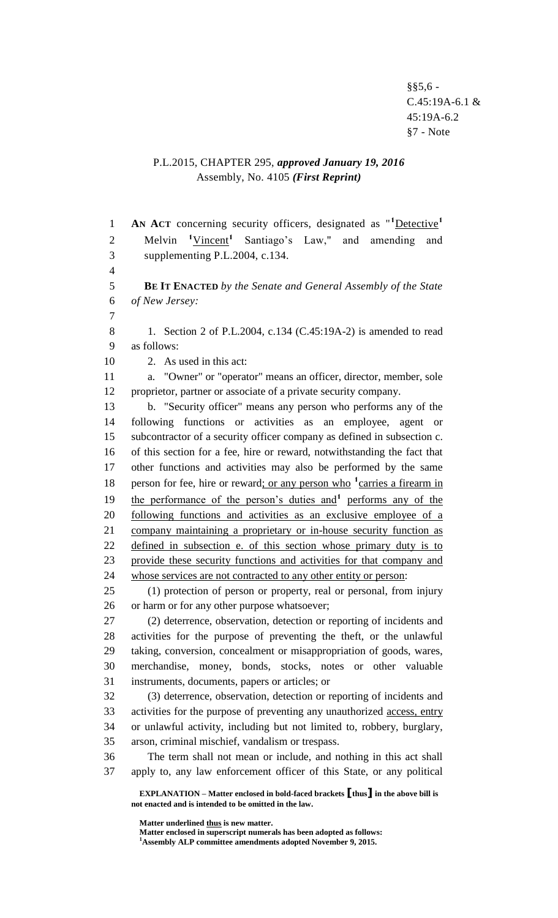$§$ §5,6 -C.45:19A-6.1 & 45:19A-6.2 §7 - Note

## P.L.2015, CHAPTER 295, *approved January 19, 2016* Assembly, No. 4105 *(First Reprint)*

**EXPLANATION – Matter enclosed in bold-faced brackets [thus] in the above bill is not enacted and is intended to be omitted in the law. AN ACT** concerning security officers, designated as "**<sup>1</sup>**Detective**<sup>1</sup>** 2 Melvin <sup>1</sup>Vincent<sup>1</sup> Santiago's Law," and amending and supplementing P.L.2004, c.134.  $\overline{\mathbf{A}}$  **BE IT ENACTED** *by the Senate and General Assembly of the State of New Jersey:* 1. Section 2 of P.L.2004, c.134 (C.45:19A-2) is amended to read as follows: 2. As used in this act: a. "Owner" or "operator" means an officer, director, member, sole proprietor, partner or associate of a private security company. b. "Security officer" means any person who performs any of the following functions or activities as an employee, agent or subcontractor of a security officer company as defined in subsection c. of this section for a fee, hire or reward, notwithstanding the fact that other functions and activities may also be performed by the same 18 person for fee, hire or reward; or any person who <sup>1</sup> carries a firearm in 19 the performance of the person's duties and<sup>1</sup> performs any of the following functions and activities as an exclusive employee of a company maintaining a proprietary or in-house security function as defined in subsection e. of this section whose primary duty is to provide these security functions and activities for that company and whose services are not contracted to any other entity or person: (1) protection of person or property, real or personal, from injury or harm or for any other purpose whatsoever; (2) deterrence, observation, detection or reporting of incidents and activities for the purpose of preventing the theft, or the unlawful taking, conversion, concealment or misappropriation of goods, wares, merchandise, money, bonds, stocks, notes or other valuable instruments, documents, papers or articles; or (3) deterrence, observation, detection or reporting of incidents and activities for the purpose of preventing any unauthorized access, entry or unlawful activity, including but not limited to, robbery, burglary, arson, criminal mischief, vandalism or trespass. The term shall not mean or include, and nothing in this act shall apply to, any law enforcement officer of this State, or any political

**Matter underlined thus is new matter.**

**Matter enclosed in superscript numerals has been adopted as follows: Assembly ALP committee amendments adopted November 9, 2015.**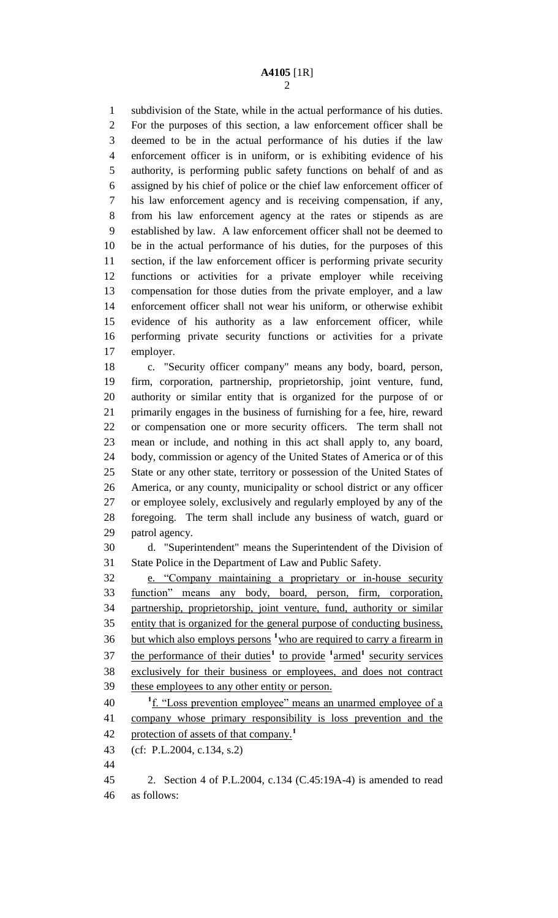subdivision of the State, while in the actual performance of his duties. For the purposes of this section, a law enforcement officer shall be deemed to be in the actual performance of his duties if the law enforcement officer is in uniform, or is exhibiting evidence of his authority, is performing public safety functions on behalf of and as assigned by his chief of police or the chief law enforcement officer of his law enforcement agency and is receiving compensation, if any, from his law enforcement agency at the rates or stipends as are established by law. A law enforcement officer shall not be deemed to be in the actual performance of his duties, for the purposes of this section, if the law enforcement officer is performing private security functions or activities for a private employer while receiving compensation for those duties from the private employer, and a law enforcement officer shall not wear his uniform, or otherwise exhibit evidence of his authority as a law enforcement officer, while performing private security functions or activities for a private employer.

 c. "Security officer company" means any body, board, person, firm, corporation, partnership, proprietorship, joint venture, fund, authority or similar entity that is organized for the purpose of or primarily engages in the business of furnishing for a fee, hire, reward or compensation one or more security officers. The term shall not mean or include, and nothing in this act shall apply to, any board, body, commission or agency of the United States of America or of this State or any other state, territory or possession of the United States of America, or any county, municipality or school district or any officer or employee solely, exclusively and regularly employed by any of the foregoing. The term shall include any business of watch, guard or patrol agency.

 d. "Superintendent" means the Superintendent of the Division of State Police in the Department of Law and Public Safety.

 e. "Company maintaining a proprietary or in-house security function" means any body, board, person, firm, corporation, partnership, proprietorship, joint venture, fund, authority or similar entity that is organized for the general purpose of conducting business, 36 but which also employs persons <sup>1</sup> who are required to carry a firearm in 37 the performance of their duties<sup>1</sup> to provide <sup>1</sup> armed<sup>1</sup> security services exclusively for their business or employees, and does not contract these employees to any other entity or person.

40 <sup>1</sup> <u>f. "Loss prevention employee" means an unarmed employee of a</u> company whose primary responsibility is loss prevention and the protection of assets of that company.**<sup>1</sup>** 

(cf: P.L.2004, c.134, s.2)

 2. Section 4 of P.L.2004, c.134 (C.45:19A-4) is amended to read as follows: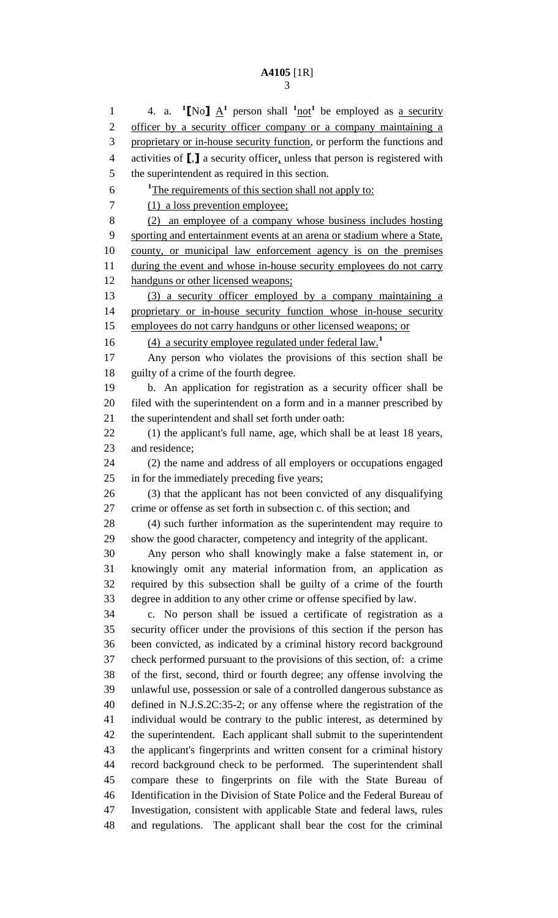1 4. a. **1**[No]  $\underline{A}^1$  person shall  $\frac{1 \text{ not}}{1}$  be employed as <u>a security</u> 2 officer by a security officer company or a company maintaining a 3 proprietary or in-house security function, or perform the functions and activities of **[**,**]** a security officer, unless that person is registered with the superintendent as required in this section. <sup>1</sup>The requirements of this section shall not apply to: 7 (1) a loss prevention employee; (2) an employee of a company whose business includes hosting sporting and entertainment events at an arena or stadium where a State, county, or municipal law enforcement agency is on the premises 11 during the event and whose in-house security employees do not carry handguns or other licensed weapons; (3) a security officer employed by a company maintaining a proprietary or in-house security function whose in-house security employees do not carry handguns or other licensed weapons; or (4) a security employee regulated under federal law.**<sup>1</sup>** Any person who violates the provisions of this section shall be guilty of a crime of the fourth degree. b. An application for registration as a security officer shall be filed with the superintendent on a form and in a manner prescribed by the superintendent and shall set forth under oath: (1) the applicant's full name, age, which shall be at least 18 years, and residence; (2) the name and address of all employers or occupations engaged in for the immediately preceding five years; (3) that the applicant has not been convicted of any disqualifying crime or offense as set forth in subsection c. of this section; and (4) such further information as the superintendent may require to show the good character, competency and integrity of the applicant. Any person who shall knowingly make a false statement in, or knowingly omit any material information from, an application as required by this subsection shall be guilty of a crime of the fourth degree in addition to any other crime or offense specified by law. c. No person shall be issued a certificate of registration as a security officer under the provisions of this section if the person has been convicted, as indicated by a criminal history record background check performed pursuant to the provisions of this section, of: a crime of the first, second, third or fourth degree; any offense involving the unlawful use, possession or sale of a controlled dangerous substance as defined in N.J.S.2C:35-2; or any offense where the registration of the individual would be contrary to the public interest, as determined by the superintendent. Each applicant shall submit to the superintendent the applicant's fingerprints and written consent for a criminal history record background check to be performed. The superintendent shall compare these to fingerprints on file with the State Bureau of Identification in the Division of State Police and the Federal Bureau of Investigation, consistent with applicable State and federal laws, rules and regulations. The applicant shall bear the cost for the criminal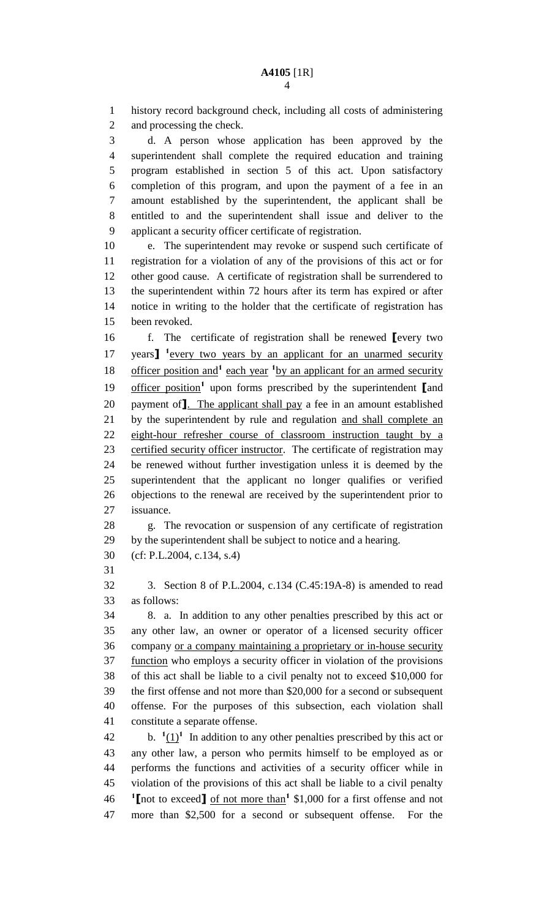history record background check, including all costs of administering and processing the check. d. A person whose application has been approved by the superintendent shall complete the required education and training program established in section 5 of this act. Upon satisfactory completion of this program, and upon the payment of a fee in an amount established by the superintendent, the applicant shall be entitled to and the superintendent shall issue and deliver to the applicant a security officer certificate of registration. e. The superintendent may revoke or suspend such certificate of registration for a violation of any of the provisions of this act or for other good cause. A certificate of registration shall be surrendered to the superintendent within 72 hours after its term has expired or after notice in writing to the holder that the certificate of registration has been revoked. f. The certificate of registration shall be renewed **[**every two 17 years<sup>1</sup> every two years by an applicant for an unarmed security 18 officer position and<sup>1</sup> each year <sup>1</sup> by an applicant for an armed security 19 officer position<sup>1</sup> upon forms prescribed by the superintendent **[**and payment of**]**. The applicant shall pay a fee in an amount established 21 by the superintendent by rule and regulation and shall complete an eight-hour refresher course of classroom instruction taught by a certified security officer instructor. The certificate of registration may be renewed without further investigation unless it is deemed by the superintendent that the applicant no longer qualifies or verified objections to the renewal are received by the superintendent prior to issuance. g. The revocation or suspension of any certificate of registration by the superintendent shall be subject to notice and a hearing. (cf: P.L.2004, c.134, s.4) 3. Section 8 of P.L.2004, c.134 (C.45:19A-8) is amended to read as follows: 8. a. In addition to any other penalties prescribed by this act or any other law, an owner or operator of a licensed security officer company or a company maintaining a proprietary or in-house security function who employs a security officer in violation of the provisions of this act shall be liable to a civil penalty not to exceed \$10,000 for the first offense and not more than \$20,000 for a second or subsequent offense. For the purposes of this subsection, each violation shall constitute a separate offense. 42 b.  $\frac{1}{1}$  In addition to any other penalties prescribed by this act or any other law, a person who permits himself to be employed as or performs the functions and activities of a security officer while in violation of the provisions of this act shall be liable to a civil penalty **[**not to exceed**]** of not more than**<sup>1</sup>** \$1,000 for a first offense and not more than \$2,500 for a second or subsequent offense. For the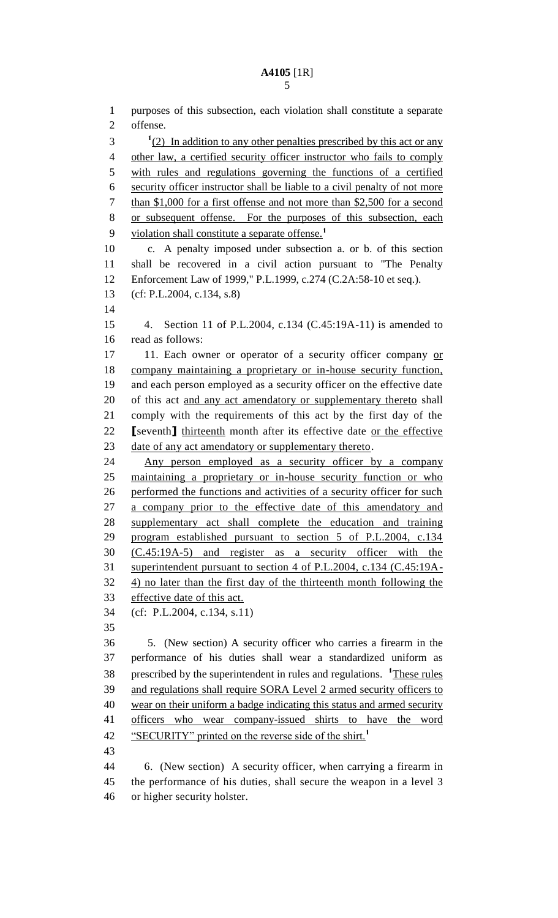purposes of this subsection, each violation shall constitute a separate offense.  $1(2)$  In addition to any other penalties prescribed by this act or any other law, a certified security officer instructor who fails to comply with rules and regulations governing the functions of a certified security officer instructor shall be liable to a civil penalty of not more than \$1,000 for a first offense and not more than \$2,500 for a second or subsequent offense. For the purposes of this subsection, each violation shall constitute a separate offense.**<sup>1</sup>** c. A penalty imposed under subsection a. or b. of this section shall be recovered in a civil action pursuant to "The Penalty Enforcement Law of 1999," P.L.1999, c.274 (C.2A:58-10 et seq.). (cf: P.L.2004, c.134, s.8) 4. Section 11 of P.L.2004, c.134 (C.45:19A-11) is amended to read as follows: 17 11. Each owner or operator of a security officer company or company maintaining a proprietary or in-house security function, and each person employed as a security officer on the effective date 20 of this act and any act amendatory or supplementary thereto shall comply with the requirements of this act by the first day of the **[**seventh**]** thirteenth month after its effective date or the effective date of any act amendatory or supplementary thereto. Any person employed as a security officer by a company maintaining a proprietary or in-house security function or who performed the functions and activities of a security officer for such a company prior to the effective date of this amendatory and supplementary act shall complete the education and training program established pursuant to section 5 of P.L.2004, c.134 (C.45:19A-5) and register as a security officer with the superintendent pursuant to section 4 of P.L.2004, c.134 (C.45:19A- 4) no later than the first day of the thirteenth month following the effective date of this act. (cf: P.L.2004, c.134, s.11) 5. (New section) A security officer who carries a firearm in the performance of his duties shall wear a standardized uniform as 38 prescribed by the superintendent in rules and regulations. <sup>1</sup>These rules and regulations shall require SORA Level 2 armed security officers to wear on their uniform a badge indicating this status and armed security officers who wear company-issued shirts to have the word "SECURITY" printed on the reverse side of the shirt.**<sup>1</sup>** 

 6. (New section) A security officer, when carrying a firearm in the performance of his duties, shall secure the weapon in a level 3 or higher security holster.